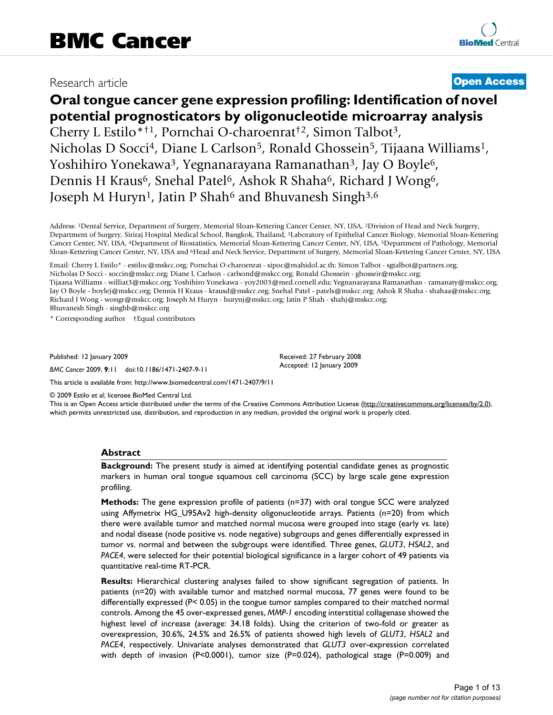### Research article **[Open Access](http://www.biomedcentral.com/info/about/charter/)**

## **Oral tongue cancer gene expression profiling: Identification of novel potential prognosticators by oligonucleotide microarray analysis**

Cherry L Estilo\*†1, Pornchai O-charoenrat†2, Simon Talbot3, Nicholas D Socci<sup>4</sup>, Diane L Carlson<sup>5</sup>, Ronald Ghossein<sup>5</sup>, Tijaana Williams<sup>1</sup>, Yoshihiro Yonekawa<sup>3</sup>, Yegnanarayana Ramanathan<sup>3</sup>, Jay O Boyle<sup>6</sup>, Dennis H Kraus<sup>6</sup>, Snehal Patel<sup>6</sup>, Ashok R Shaha<sup>6</sup>, Richard J Wong<sup>6</sup>, Joseph M Huryn<sup>1</sup>, Jatin P Shah<sup>6</sup> and Bhuvanesh Singh<sup>3,6</sup>

Address: 1Dental Service, Department of Surgery, Memorial Sloan-Kettering Cancer Center, NY, USA, 2Division of Head and Neck Surgery, Department of Surgery, Siriraj Hospital Medical School, Bangkok, Thailand, 3Laboratory of Epithelial Cancer Biology, Memorial Sloan-Kettering Cancer Center, NY, USA, 4Department of Biostatistics, Memorial Sloan-Kettering Cancer Center, NY, USA, 5Department of Pathology, Memorial Sloan-Kettering Cancer Center, NY, USA and 6Head and Neck Service, Department of Surgery, Memorial Sloan-Kettering Cancer Center, NY, USA

Email: Cherry L Estilo\* - estiloc@mskcc.org; Pornchai O-charoenrat - sipoc@mahidol.ac.th; Simon Talbot - sgtalbot@partners.org; Nicholas D Socci - soccin@mskcc.org; Diane L Carlson - carlsond@mskcc.org; Ronald Ghossein - ghosseir@mskcc.org; Tijaana Williams - williat3@mskcc.org; Yoshihiro Yonekawa - yoy2003@med.cornell.edu; Yegnanarayana Ramanathan - ramanaty@mskcc.org; Jay O Boyle - boylej@mskcc.org; Dennis H Kraus - krausd@mskcc.org; Snehal Patel - patels@mskcc.org; Ashok R Shaha - shahaa@mskcc.org; Richard J Wong - wongr@mskcc.org; Joseph M Huryn - hurynj@mskcc.org; Jatin P Shah - shahj@mskcc.org; Bhuvanesh Singh - singhb@mskcc.org

\* Corresponding author †Equal contributors

Published: 12 January 2009

Received: 27 February 2008 Accepted: 12 January 2009

[This article is available from: http://www.biomedcentral.com/1471-2407/9/11](http://www.biomedcentral.com/1471-2407/9/11)

© 2009 Estilo et al; licensee BioMed Central Ltd.

*BMC Cancer* 2009, **9**:11 doi:10.1186/1471-2407-9-11

This is an Open Access article distributed under the terms of the Creative Commons Attribution License [\(http://creativecommons.org/licenses/by/2.0\)](http://creativecommons.org/licenses/by/2.0), which permits unrestricted use, distribution, and reproduction in any medium, provided the original work is properly cited.

#### **Abstract**

**Background:** The present study is aimed at identifying potential candidate genes as prognostic markers in human oral tongue squamous cell carcinoma (SCC) by large scale gene expression profiling.

**Methods:** The gene expression profile of patients (n=37) with oral tongue SCC were analyzed using Affymetrix HG\_U95Av2 high-density oligonucleotide arrays. Patients (n=20) from which there were available tumor and matched normal mucosa were grouped into stage (early vs. late) and nodal disease (node positive vs. node negative) subgroups and genes differentially expressed in tumor vs. normal and between the subgroups were identified. Three genes, *GLUT3*, *HSAL2*, and *PACE4*, were selected for their potential biological significance in a larger cohort of 49 patients via quantitative real-time RT-PCR.

**Results:** Hierarchical clustering analyses failed to show significant segregation of patients. In patients (n=20) with available tumor and matched normal mucosa, 77 genes were found to be differentially expressed (P< 0.05) in the tongue tumor samples compared to their matched normal controls. Among the 45 over-expressed genes, *MMP-1* encoding interstitial collagenase showed the highest level of increase (average: 34.18 folds). Using the criterion of two-fold or greater as overexpression, 30.6%, 24.5% and 26.5% of patients showed high levels of *GLUT3*, *HSAL2* and *PACE4*, respectively. Univariate analyses demonstrated that *GLUT3* over-expression correlated with depth of invasion (P<0.0001), tumor size (P=0.024), pathological stage (P=0.009) and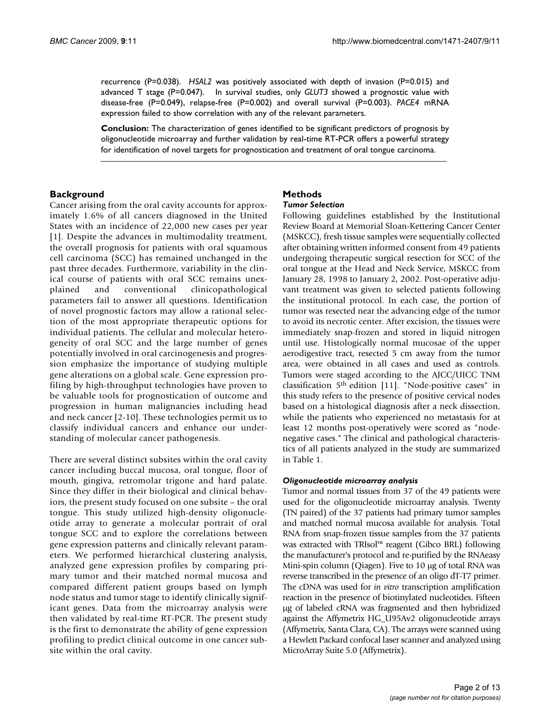recurrence (P=0.038). *HSAL2* was positively associated with depth of invasion (P=0.015) and advanced T stage (P=0.047). In survival studies, only *GLUT3* showed a prognostic value with disease-free (P=0.049), relapse-free (P=0.002) and overall survival (P=0.003). *PACE4* mRNA expression failed to show correlation with any of the relevant parameters.

**Conclusion:** The characterization of genes identified to be significant predictors of prognosis by oligonucleotide microarray and further validation by real-time RT-PCR offers a powerful strategy for identification of novel targets for prognostication and treatment of oral tongue carcinoma.

#### **Background**

Cancer arising from the oral cavity accounts for approximately 1.6% of all cancers diagnosed in the United States with an incidence of 22,000 new cases per year [1]. Despite the advances in multimodality treatment, the overall prognosis for patients with oral squamous cell carcinoma (SCC) has remained unchanged in the past three decades. Furthermore, variability in the clinical course of patients with oral SCC remains unexplained and conventional clinicopathological parameters fail to answer all questions. Identification of novel prognostic factors may allow a rational selection of the most appropriate therapeutic options for individual patients. The cellular and molecular heterogeneity of oral SCC and the large number of genes potentially involved in oral carcinogenesis and progression emphasize the importance of studying multiple gene alterations on a global scale. Gene expression profiling by high-throughput technologies have proven to be valuable tools for prognostication of outcome and progression in human malignancies including head and neck cancer [2-10]. These technologies permit us to classify individual cancers and enhance our understanding of molecular cancer pathogenesis.

There are several distinct subsites within the oral cavity cancer including buccal mucosa, oral tongue, floor of mouth, gingiva, retromolar trigone and hard palate. Since they differ in their biological and clinical behaviors, the present study focused on one subsite – the oral tongue. This study utilized high-density oligonucleotide array to generate a molecular portrait of oral tongue SCC and to explore the correlations between gene expression patterns and clinically relevant parameters. We performed hierarchical clustering analysis, analyzed gene expression profiles by comparing primary tumor and their matched normal mucosa and compared different patient groups based on lymph node status and tumor stage to identify clinically significant genes. Data from the microarray analysis were then validated by real-time RT-PCR. The present study is the first to demonstrate the ability of gene expression profiling to predict clinical outcome in one cancer subsite within the oral cavity.

## **Methods**

#### *Tumor Selection*

Following guidelines established by the Institutional Review Board at Memorial Sloan-Kettering Cancer Center (MSKCC), fresh tissue samples were sequentially collected after obtaining written informed consent from 49 patients undergoing therapeutic surgical resection for SCC of the oral tongue at the Head and Neck Service, MSKCC from January 28, 1998 to January 2, 2002. Post-operative adjuvant treatment was given to selected patients following the institutional protocol. In each case, the portion of tumor was resected near the advancing edge of the tumor to avoid its necrotic center. After excision, the tissues were immediately snap-frozen and stored in liquid nitrogen until use. Histologically normal mucosae of the upper aerodigestive tract, resected 5 cm away from the tumor area, were obtained in all cases and used as controls. Tumors were staged according to the AJCC/UICC TNM classification 5th edition [11]. "Node-positive cases" in this study refers to the presence of positive cervical nodes based on a histological diagnosis after a neck dissection, while the patients who experienced no metastasis for at least 12 months post-operatively were scored as "nodenegative cases." The clinical and pathological characteristics of all patients analyzed in the study are summarized in Table 1.

#### *Oligonucleotide microarray analysis*

Tumor and normal tissues from 37 of the 49 patients were used for the oligonucleotide microarray analysis. Twenty (TN paired) of the 37 patients had primary tumor samples and matched normal mucosa available for analysis. Total RNA from snap-frozen tissue samples from the 37 patients was extracted with TRIsol™ reagent (Gibco BRL) following the manufacturer's protocol and re-purified by the RNAeasy Mini-spin column (Qiagen). Five to 10 μg of total RNA was reverse transcribed in the presence of an oligo dT-T7 primer. The cDNA was used for *in vitro* transcription amplification reaction in the presence of biotinylated nucleotides. Fifteen μg of labeled cRNA was fragmented and then hybridized against the Affymetrix HG\_U95Av2 oligonucleotide arrays (Affymetrix, Santa Clara, CA). The arrays were scanned using a Hewlett Packard confocal laser scanner and analyzed using MicroArray Suite 5.0 (Affymetrix).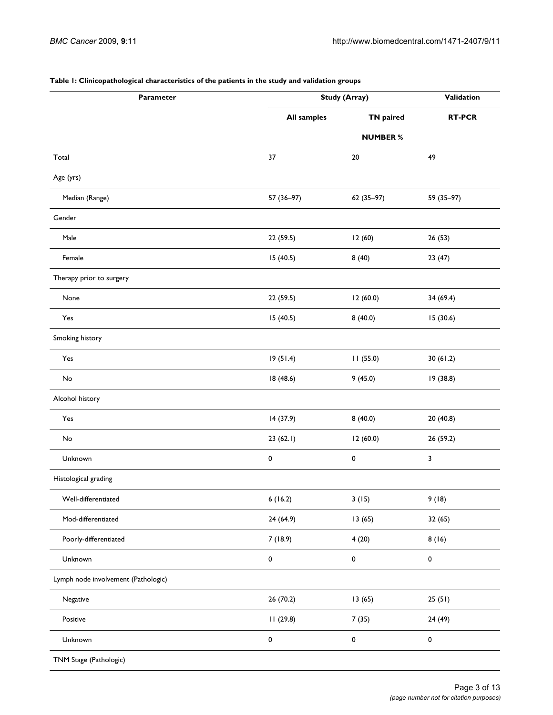# **Parameter Study (Array)** Validation **All samples TN paired RT-PCR NUMBER %** Total 37 20 49 Age (yrs) Median (Range) 57 (36–97) 62 (35–97) 59 (35–97) Gender Male 22 (59.5) 12 (60) 26 (53) 26 (53) Female 15 (40.5) 8 (40) 23 (47) 8 (40) 23 (47) Therapy prior to surgery None 22 (59.5) 12 (60.0) 34 (69.4) Yes 15 (40.5) 8 (40.0) 15 (30.6) Smoking history Yes 19 (51.4) 11 (55.0) 30 (61.2) No 18 (48.6) 9 (45.0) 19 (38.8) Alcohol history Yes 14 (37.9) 8 (40.0) 20 (40.8) No 23 (62.1) 12 (60.0) 26 (59.2) Unknown 0 0 3 Histological grading Well-differentiated 6 (16.2) 3 (15) 9 (18) Mod-differentiated 24 (64.9) 13 (65) 32 (65) Poorly-differentiated 8 (16) 8 (16) Unknown 0 0 0 Lymph node involvement (Pathologic) Negative 26 (70.2) 13 (65) 25 (51) 25 (51) Positive 11 (29.8) 7 (35) 24 (49) 24 (49) Unknown 0 0 0

#### **Table 1: Clinicopathological characteristics of the patients in the study and validation groups**

TNM Stage (Pathologic)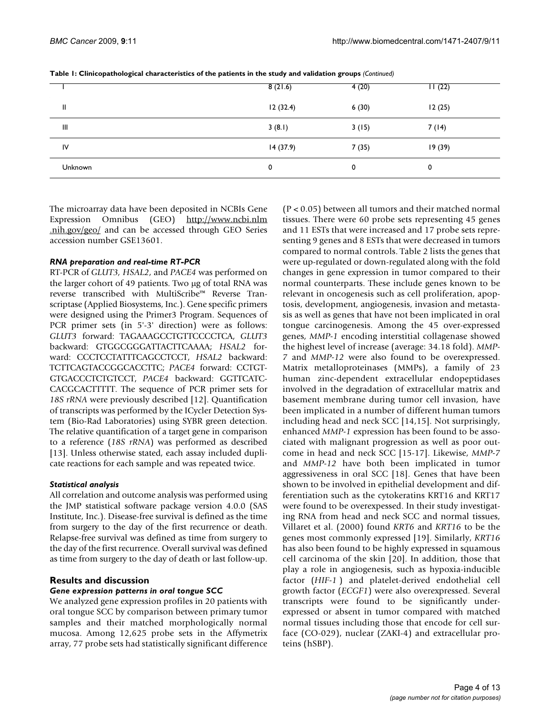|         | . . | . . |          | $\sim$ $\sim$ $\sim$<br>$\sim$ |         |
|---------|-----|-----|----------|--------------------------------|---------|
|         |     |     | 8(21.6)  | 4(20)                          | 11(22)  |
| Ш       |     |     | 12(32.4) | 6(30)                          | 12(25)  |
| Ш       |     |     | 3(8.1)   | 3(15)                          | 7(14)   |
| IV      |     |     | 14(37.9) | 7(35)                          | 19 (39) |
| Unknown |     |     | 0        | 0                              |         |
|         |     |     |          |                                |         |

**Table 1: Clinicopathological characteristics of the patients in the study and validation groups** *(Continued)*

The microarray data have been deposited in NCBIs Gene Expression Omnibus (GEO) [http://www.ncbi.nlm](http://www.ncbi.nlm.nih.gov/geo/) [.nih.gov/geo/](http://www.ncbi.nlm.nih.gov/geo/) and can be accessed through GEO Series accession number GSE13601.

#### *RNA preparation and real-time RT-PCR*

RT-PCR of *GLUT3, HSAL2*, and *PACE4* was performed on the larger cohort of 49 patients. Two μg of total RNA was reverse transcribed with MultiScribe™ Reverse Transcriptase (Applied Biosystems, Inc.). Gene specific primers were designed using the Primer3 Program. Sequences of PCR primer sets (in 5'-3' direction) were as follows: *GLUT3* forward: TAGAAAGCCTGTTCCCCTCA, *GLUT3* backward: GTGGCGGGATTACTTCAAAA; *HSAL2* forward: CCCTCCTATTTCAGCCTCCT, *HSAL2* backward: TCTTCAGTACCGGCACCTTC; *PACE4* forward: CCTGT-GTGACCCTCTGTCCT, *PACE4* backward: GGTTCATC-CACGCACTTTTT. The sequence of PCR primer sets for *18S rRNA* were previously described [12]. Quantification of transcripts was performed by the ICycler Detection System (Bio-Rad Laboratories) using SYBR green detection. The relative quantification of a target gene in comparison to a reference (*18S rRNA*) was performed as described [13]. Unless otherwise stated, each assay included duplicate reactions for each sample and was repeated twice.

#### *Statistical analysis*

All correlation and outcome analysis was performed using the JMP statistical software package version 4.0.0 (SAS Institute, Inc.). Disease-free survival is defined as the time from surgery to the day of the first recurrence or death. Relapse-free survival was defined as time from surgery to the day of the first recurrence. Overall survival was defined as time from surgery to the day of death or last follow-up.

#### **Results and discussion**

#### *Gene expression patterns in oral tongue SCC*

We analyzed gene expression profiles in 20 patients with oral tongue SCC by comparison between primary tumor samples and their matched morphologically normal mucosa. Among 12,625 probe sets in the Affymetrix array, 77 probe sets had statistically significant difference (P < 0.05) between all tumors and their matched normal tissues. There were 60 probe sets representing 45 genes and 11 ESTs that were increased and 17 probe sets representing 9 genes and 8 ESTs that were decreased in tumors compared to normal controls. Table 2 lists the genes that were up-regulated or down-regulated along with the fold changes in gene expression in tumor compared to their normal counterparts. These include genes known to be relevant in oncogenesis such as cell proliferation, apoptosis, development, angiogenesis, invasion and metastasis as well as genes that have not been implicated in oral tongue carcinogenesis. Among the 45 over-expressed genes, *MMP-1* encoding interstitial collagenase showed the highest level of increase (average: 34.18 fold). *MMP-7* and *MMP-12* were also found to be overexpressed. Matrix metalloproteinases (MMPs), a family of 23 human zinc-dependent extracellular endopeptidases involved in the degradation of extracellular matrix and basement membrane during tumor cell invasion, have been implicated in a number of different human tumors including head and neck SCC [14,15]. Not surprisingly, enhanced *MMP-1* expression has been found to be associated with malignant progression as well as poor outcome in head and neck SCC [15-17]. Likewise, *MMP-7* and *MMP-12* have both been implicated in tumor aggressiveness in oral SCC [18]. Genes that have been shown to be involved in epithelial development and differentiation such as the cytokeratins KRT16 and KRT17 were found to be overexpessed. In their study investigating RNA from head and neck SCC and normal tissues, Villaret et al. (2000) found *KRT6* and *KRT16* to be the genes most commonly expressed [19]. Similarly, *KRT16* has also been found to be highly expressed in squamous cell carcinoma of the skin [20]. In addition, those that play a role in angiogenesis, such as hypoxia-inducible factor (*HIF-1* ) and platelet-derived endothelial cell growth factor (*ECGF1*) were also overexpressed. Several transcripts were found to be significantly underexpressed or absent in tumor compared with matched normal tissues including those that encode for cell surface (CO-029), nuclear (ZAKI-4) and extracellular proteins (hSBP).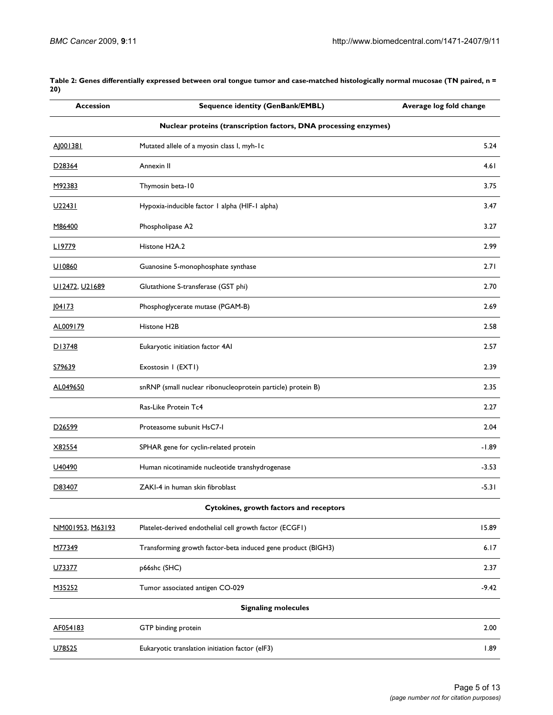| Table 2: Genes differentially expressed between oral tongue tumor and case-matched histologically normal mucosae (TN paired, n = |  |
|----------------------------------------------------------------------------------------------------------------------------------|--|
| 20)                                                                                                                              |  |

| <b>Accession</b>                                                 | Sequence identity (GenBank/EMBL)                             | Average log fold change |  |  |  |
|------------------------------------------------------------------|--------------------------------------------------------------|-------------------------|--|--|--|
| Nuclear proteins (transcription factors, DNA processing enzymes) |                                                              |                         |  |  |  |
| A1001381                                                         | Mutated allele of a myosin class I, myh-Ic                   | 5.24                    |  |  |  |
| D28364                                                           | Annexin II                                                   | 4.6 I                   |  |  |  |
| M92383                                                           | Thymosin beta-10                                             | 3.75                    |  |  |  |
| U22431                                                           | Hypoxia-inducible factor I alpha (HIF-I alpha)               | 3.47                    |  |  |  |
| M86400                                                           | Phospholipase A2                                             | 3.27                    |  |  |  |
| L19779                                                           | Histone H2A.2                                                | 2.99                    |  |  |  |
| U10860                                                           | Guanosine 5-monophosphate synthase                           | 2.71                    |  |  |  |
| U12472, U21689                                                   | Glutathione S-transferase (GST phi)                          | 2.70                    |  |  |  |
| 104173                                                           | Phosphoglycerate mutase (PGAM-B)                             | 2.69                    |  |  |  |
| AL009179                                                         | Histone H2B                                                  | 2.58                    |  |  |  |
| D13748                                                           | Eukaryotic initiation factor 4AI                             | 2.57                    |  |  |  |
| S79639                                                           | Exostosin I (EXTI)                                           | 2.39                    |  |  |  |
| AL049650                                                         | snRNP (small nuclear ribonucleoprotein particle) protein B)  | 2.35                    |  |  |  |
|                                                                  | Ras-Like Protein Tc4                                         | 2.27                    |  |  |  |
| D <sub>26599</sub>                                               | Proteasome subunit HsC7-I                                    | 2.04                    |  |  |  |
| X82554                                                           | SPHAR gene for cyclin-related protein                        | $-1.89$                 |  |  |  |
| U40490                                                           | Human nicotinamide nucleotide transhydrogenase               | $-3.53$                 |  |  |  |
| D83407                                                           | ZAKI-4 in human skin fibroblast                              | $-5.31$                 |  |  |  |
| Cytokines, growth factors and receptors                          |                                                              |                         |  |  |  |
| NM001953, M63193                                                 | Platelet-derived endothelial cell growth factor (ECGFI)      | 15.89                   |  |  |  |
| M77349                                                           | Transforming growth factor-beta induced gene product (BIGH3) | 6.17                    |  |  |  |
| U73377                                                           | p66shc (SHC)                                                 | 2.37                    |  |  |  |
| M35252                                                           | Tumor associated antigen CO-029                              | $-9.42$                 |  |  |  |
| <b>Signaling molecules</b>                                       |                                                              |                         |  |  |  |
| AF054183                                                         | GTP binding protein                                          | 2.00                    |  |  |  |
| U78525                                                           | Eukaryotic translation initiation factor (eIF3)              | 1.89                    |  |  |  |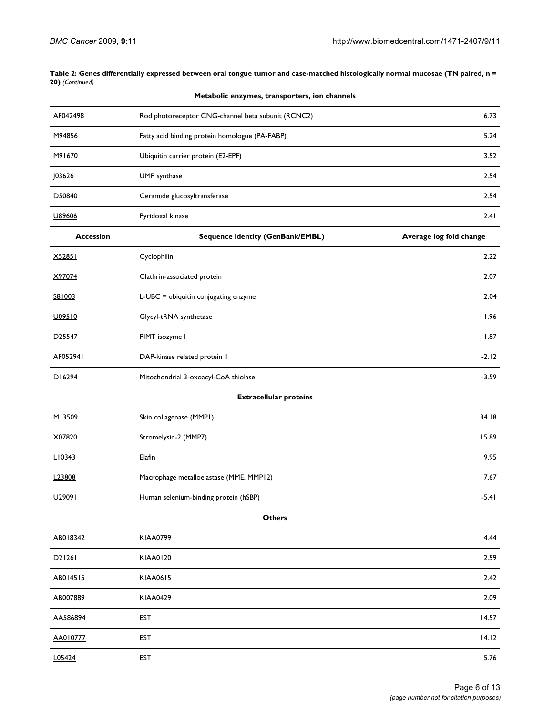| Metabolic enzymes, transporters, ion channels |                                                    |                         |  |  |  |
|-----------------------------------------------|----------------------------------------------------|-------------------------|--|--|--|
| AF042498                                      | Rod photoreceptor CNG-channel beta subunit (RCNC2) | 6.73                    |  |  |  |
| M94856                                        | Fatty acid binding protein homologue (PA-FABP)     | 5.24                    |  |  |  |
| M91670                                        | Ubiquitin carrier protein (E2-EPF)                 | 3.52                    |  |  |  |
| 103626                                        | UMP synthase                                       | 2.54                    |  |  |  |
| D50840                                        | Ceramide glucosyltransferase                       | 2.54                    |  |  |  |
| U89606                                        | Pyridoxal kinase                                   | 2.41                    |  |  |  |
| <b>Accession</b>                              | Sequence identity (GenBank/EMBL)                   | Average log fold change |  |  |  |
| X52851                                        | Cyclophilin                                        | 2.22                    |  |  |  |
| X97074                                        | Clathrin-associated protein                        | 2.07                    |  |  |  |
| S81003                                        | L-UBC = ubiquitin conjugating enzyme               | 2.04                    |  |  |  |
| U09510                                        | Glycyl-tRNA synthetase                             | 1.96                    |  |  |  |
| D25547                                        | PIMT isozyme I                                     | 1.87                    |  |  |  |
| AF052941                                      | DAP-kinase related protein I                       | $-2.12$                 |  |  |  |
| D16294                                        | Mitochondrial 3-oxoacyl-CoA thiolase               | $-3.59$                 |  |  |  |
|                                               | <b>Extracellular proteins</b>                      |                         |  |  |  |
| M13509                                        | Skin collagenase (MMPI)                            | 34.18                   |  |  |  |
| X07820                                        | Stromelysin-2 (MMP7)                               | 15.89                   |  |  |  |
| L10343                                        | Elafin                                             | 9.95                    |  |  |  |
| L23808                                        | Macrophage metalloelastase (MME, MMP12)            | 7.67                    |  |  |  |
| U29091                                        | Human selenium-binding protein (hSBP)              | $-5.41$                 |  |  |  |
| Others                                        |                                                    |                         |  |  |  |
| AB018342                                      | <b>KIAA0799</b>                                    | 4.44                    |  |  |  |
| D21261                                        | KIAA0120                                           | 2.59                    |  |  |  |
| AB014515                                      | KIAA0615                                           | 2.42                    |  |  |  |
| AB007889                                      | <b>KIAA0429</b>                                    | 2.09                    |  |  |  |
| AA586894                                      | <b>EST</b>                                         | 14.57                   |  |  |  |
| AA010777                                      | <b>EST</b>                                         | 14.12                   |  |  |  |
| L05424                                        | <b>EST</b>                                         | 5.76                    |  |  |  |

**Table 2: Genes differentially expressed between oral tongue tumor and case-matched histologically normal mucosae (TN paired, n = 20)** *(Continued)*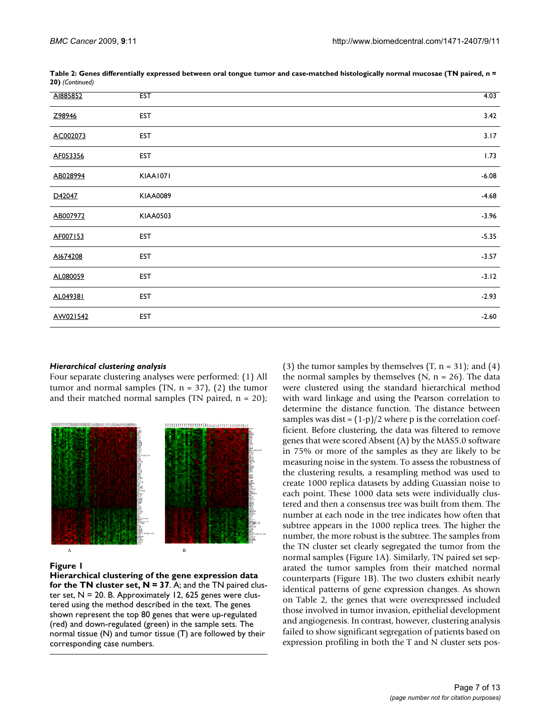| AI885852 | <b>EST</b>      | 4.03    |
|----------|-----------------|---------|
| Z98946   | <b>EST</b>      | 3.42    |
| AC002073 | <b>EST</b>      | 3.17    |
| AF053356 | <b>EST</b>      | 1.73    |
| AB028994 | <b>KIAA1071</b> | $-6.08$ |
| D42047   | <b>KIAA0089</b> | $-4.68$ |
| AB007972 | <b>KIAA0503</b> | $-3.96$ |
| AF007153 | <b>EST</b>      | $-5.35$ |
| AI674208 | <b>EST</b>      | $-3.57$ |
| AL080059 | <b>EST</b>      | $-3.12$ |
| AL049381 | <b>EST</b>      | $-2.93$ |
| AW021542 | <b>EST</b>      | $-2.60$ |

**Table 2: Genes differentially expressed between oral tongue tumor and case-matched histologically normal mucosae (TN paired, n = 20)** *(Continued)*

#### *Hierarchical clustering analysis*

Four separate clustering analyses were performed: (1) All tumor and normal samples (TN,  $n = 37$ ), (2) the tumor and their matched normal samples (TN paired,  $n = 20$ );



#### Figure 1

**Hierarchical clustering of the gene expression data for the TN cluster set,**  $N = 37$ . A; and the TN paired cluster set,  $N = 20$ . B. Approximately 12, 625 genes were clustered using the method described in the text. The genes shown represent the top 80 genes that were up-regulated (red) and down-regulated (green) in the sample sets. The normal tissue (N) and tumor tissue (T) are followed by their corresponding case numbers.

(3) the tumor samples by themselves  $(T, n = 31)$ ; and  $(4)$ the normal samples by themselves  $(N, n = 26)$ . The data were clustered using the standard hierarchical method with ward linkage and using the Pearson correlation to determine the distance function. The distance between samples was dist =  $(1-p)/2$  where p is the correlation coefficient. Before clustering, the data was filtered to remove genes that were scored Absent (A) by the MAS5.0 software in 75% or more of the samples as they are likely to be measuring noise in the system. To assess the robustness of the clustering results, a resampling method was used to create 1000 replica datasets by adding Guassian noise to each point. These 1000 data sets were individually clustered and then a consensus tree was built from them. The number at each node in the tree indicates how often that subtree appears in the 1000 replica trees. The higher the number, the more robust is the subtree. The samples from the TN cluster set clearly segregated the tumor from the normal samples (Figure 1A). Similarly, TN paired set separated the tumor samples from their matched normal counterparts (Figure 1B). The two clusters exhibit nearly identical patterns of gene expression changes. As shown on Table 2, the genes that were overexpressed included those involved in tumor invasion, epithelial development and angiogenesis. In contrast, however, clustering analysis failed to show significant segregation of patients based on expression profiling in both the T and N cluster sets pos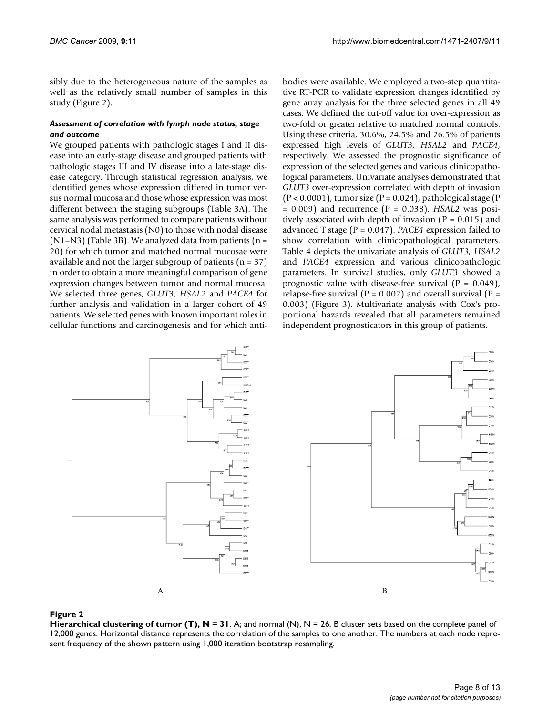sibly due to the heterogeneous nature of the samples as well as the relatively small number of samples in this study (Figure 2).

#### *Assessment of correlation with lymph node status, stage and outcome*

We grouped patients with pathologic stages I and II disease into an early-stage disease and grouped patients with pathologic stages III and IV disease into a late-stage disease category. Through statistical regression analysis, we identified genes whose expression differed in tumor versus normal mucosa and those whose expression was most different between the staging subgroups (Table 3A). The same analysis was performed to compare patients without cervical nodal metastasis (N0) to those with nodal disease (N1–N3) (Table 3B). We analyzed data from patients ( $n =$ 20) for which tumor and matched normal mucosae were available and not the larger subgroup of patients  $(n = 37)$ in order to obtain a more meaningful comparison of gene expression changes between tumor and normal mucosa. We selected three genes, *GLUT3, HSAL2* and *PACE4* for further analysis and validation in a larger cohort of 49 patients. We selected genes with known important roles in cellular functions and carcinogenesis and for which antibodies were available. We employed a two-step quantitative RT-PCR to validate expression changes identified by gene array analysis for the three selected genes in all 49 cases. We defined the cut-off value for over-expression as two-fold or greater relative to matched normal controls. Using these criteria, 30.6%, 24.5% and 26.5% of patients expressed high levels of *GLUT3, HSAL2* and *PACE4*, respectively. We assessed the prognostic significance of expression of the selected genes and various clinicopathological parameters. Univariate analyses demonstrated that *GLUT3* over-expression correlated with depth of invasion  $(P < 0.0001)$ , tumor size  $(P = 0.024)$ , pathological stage  $(P \mid P \mid \mathcal{P})$ = 0.009) and recurrence (P = 0.038). *HSAL2* was positively associated with depth of invasion ( $P = 0.015$ ) and advanced T stage (P = 0.047). *PACE4* expression failed to show correlation with clinicopathological parameters. Table 4 depicts the univariate analysis of *GLUT3, HSAL2* and *PACE4* expression and various clinicopathologic parameters. In survival studies, only *GLUT3* showed a prognostic value with disease-free survival  $(P = 0.049)$ , relapse-free survival ( $P = 0.002$ ) and overall survival ( $P =$ 0.003) (Figure 3). Multivariate analysis with Cox's proportional hazards revealed that all parameters remained independent prognosticators in this group of patients.



#### **Figure 2**

**Hierarchical clustering of tumor (T), N = 31.** A; and normal  $(N)$ , N = 26. B cluster sets based on the complete panel of 12,000 genes. Horizontal distance represents the correlation of the samples to one another. The numbers at each node represent frequency of the shown pattern using 1,000 iteration bootstrap resampling.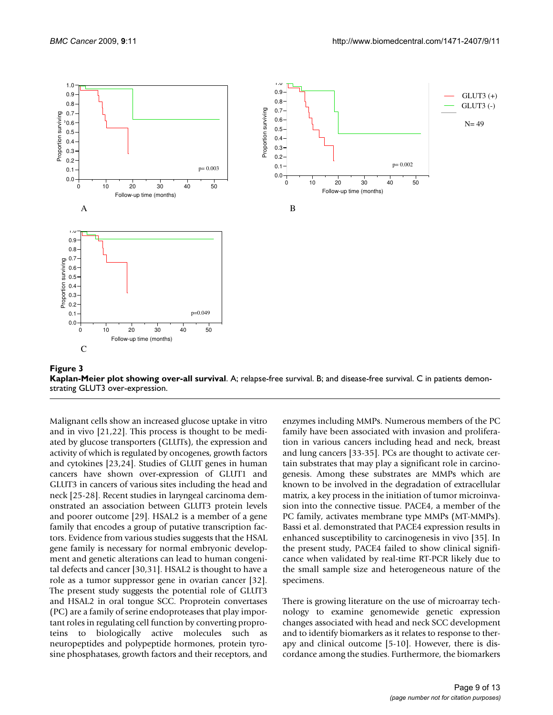

**Figure 3 Kaplan-Meier plot showing over-all survival**. A; relapse-free survival. B; and disease-free survival. C in patients demonstrating GLUT3 over-expression.

Malignant cells show an increased glucose uptake in vitro and in vivo [21,22]. This process is thought to be mediated by glucose transporters (GLUTs), the expression and activity of which is regulated by oncogenes, growth factors and cytokines [23,24]. Studies of GLUT genes in human cancers have shown over-expression of GLUT1 and GLUT3 in cancers of various sites including the head and neck [25-28]. Recent studies in laryngeal carcinoma demonstrated an association between GLUT3 protein levels and poorer outcome [29]. HSAL2 is a member of a gene family that encodes a group of putative transcription factors. Evidence from various studies suggests that the HSAL gene family is necessary for normal embryonic development and genetic alterations can lead to human congenital defects and cancer [30,31]. HSAL2 is thought to have a role as a tumor suppressor gene in ovarian cancer [32]. The present study suggests the potential role of GLUT3 and HSAL2 in oral tongue SCC. Proprotein convertases (PC) are a family of serine endoproteases that play important roles in regulating cell function by converting proproteins to biologically active molecules such as neuropeptides and polypeptide hormones, protein tyrosine phosphatases, growth factors and their receptors, and

enzymes including MMPs. Numerous members of the PC family have been associated with invasion and proliferation in various cancers including head and neck, breast and lung cancers [33-35]. PCs are thought to activate certain substrates that may play a significant role in carcinogenesis. Among these substrates are MMPs which are known to be involved in the degradation of extracellular matrix, a key process in the initiation of tumor microinvasion into the connective tissue. PACE4, a member of the PC family, activates membrane type MMPs (MT-MMPs). Bassi et al. demonstrated that PACE4 expression results in enhanced susceptibility to carcinogenesis in vivo [35]. In the present study, PACE4 failed to show clinical significance when validated by real-time RT-PCR likely due to the small sample size and heterogeneous nature of the specimens.

There is growing literature on the use of microarray technology to examine genomewide genetic expression changes associated with head and neck SCC development and to identify biomarkers as it relates to response to therapy and clinical outcome [5-10]. However, there is discordance among the studies. Furthermore, the biomarkers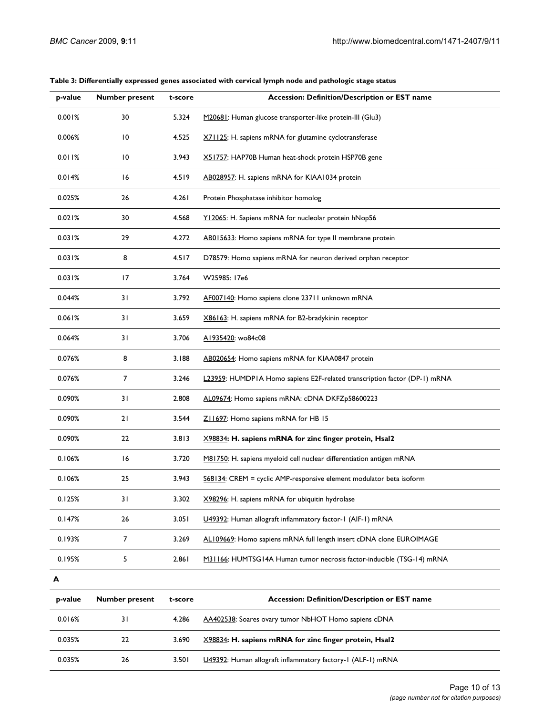| p-value | Number present        | t-score | <b>Accession: Definition/Description or EST name</b>                      |
|---------|-----------------------|---------|---------------------------------------------------------------------------|
| 0.001%  | 30                    | 5.324   | M20681: Human glucose transporter-like protein-III (Glu3)                 |
| 0.006%  | 10                    | 4.525   | X71125: H. sapiens mRNA for glutamine cyclotransferase                    |
| 0.011%  | 10                    | 3.943   | X51757: HAP70B Human heat-shock protein HSP70B gene                       |
| 0.014%  | 16                    | 4.519   | AB028957: H. sapiens mRNA for KIAA1034 protein                            |
| 0.025%  | 26                    | 4.261   | Protein Phosphatase inhibitor homolog                                     |
| 0.021%  | 30                    | 4.568   | Y12065: H. Sapiens mRNA for nucleolar protein hNop56                      |
| 0.031%  | 29                    | 4.272   | AB015633: Homo sapiens mRNA for type II membrane protein                  |
| 0.031%  | 8                     | 4.517   | D78579: Homo sapiens mRNA for neuron derived orphan receptor              |
| 0.031%  | 17                    | 3.764   | <u>W25985</u> : 17e6                                                      |
| 0.044%  | 31                    | 3.792   | AF007140: Homo sapiens clone 23711 unknown mRNA                           |
| 0.061%  | 31                    | 3.659   | X86163: H. sapiens mRNA for B2-bradykinin receptor                        |
| 0.064%  | 31                    | 3.706   | A1935420: wo84c08                                                         |
| 0.076%  | 8                     | 3.188   | AB020654: Homo sapiens mRNA for KIAA0847 protein                          |
| 0.076%  | 7                     | 3.246   | L23959: HUMDPIA Homo sapiens E2F-related transcription factor (DP-1) mRNA |
| 0.090%  | 31                    | 2.808   | AL09674: Homo sapiens mRNA: cDNA DKFZp58600223                            |
| 0.090%  | 21                    | 3.544   | Z11697: Homo sapiens mRNA for HB 15                                       |
| 0.090%  | 22                    | 3.813   | X98834: H. sapiens mRNA for zinc finger protein, Hsal2                    |
| 0.106%  | 16                    | 3.720   | M81750: H. sapiens myeloid cell nuclear differentiation antigen mRNA      |
| 0.106%  | 25                    | 3.943   | $S68134$ : CREM = cyclic AMP-responsive element modulator beta isoform    |
| 0.125%  | 31                    | 3.302   | X98296: H. sapiens mRNA for ubiquitin hydrolase                           |
| 0.147%  | 26                    | 3.051   | U49392: Human allograft inflammatory factor-1 (AIF-1) mRNA                |
| 0.193%  | $\overline{7}$        | 3.269   | AL109669: Homo sapiens mRNA full length insert cDNA clone EUROIMAGE       |
| 0.195%  | 5                     | 2.861   | M31166: HUMTSG14A Human tumor necrosis factor-inducible (TSG-14) mRNA     |
| A       |                       |         |                                                                           |
| p-value | <b>Number present</b> | t-score | Accession: Definition/Description or EST name                             |
| 0.016%  | 31                    | 4.286   | AA402538: Soares ovary tumor NbHOT Homo sapiens cDNA                      |
| 0.035%  | 22                    | 3.690   | X98834: H. sapiens mRNA for zinc finger protein, Hsal2                    |
| 0.035%  | 26                    | 3.501   | U49392: Human allograft inflammatory factory-1 (ALF-1) mRNA               |

#### **Table 3: Differentially expressed genes associated with cervical lymph node and pathologic stage status**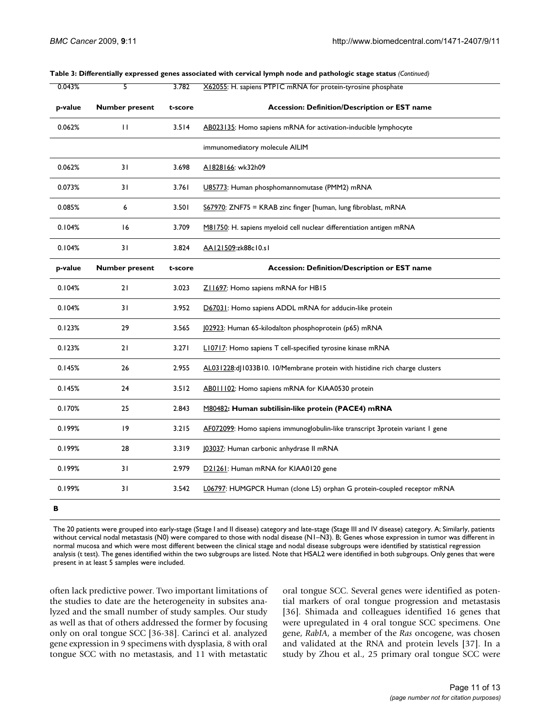| 0.043%  | 5                     | 3.782   | X62055: H. sapiens PTPIC mRNA for protein-tyrosine phosphate                  |  |
|---------|-----------------------|---------|-------------------------------------------------------------------------------|--|
| p-value | <b>Number present</b> | t-score | Accession: Definition/Description or EST name                                 |  |
| 0.062%  | $\mathbf{H}$          | 3.514   | AB023135: Homo sapiens mRNA for activation-inducible lymphocyte               |  |
|         |                       |         | immunomediatory molecule AILIM                                                |  |
| 0.062%  | 31                    | 3.698   | A1828166: wk32h09                                                             |  |
| 0.073%  | 31                    | 3.761   | U85773: Human phosphomannomutase (PMM2) mRNA                                  |  |
| 0.085%  | 6                     | 3.501   | S67970: ZNF75 = KRAB zinc finger [human, lung fibroblast, mRNA                |  |
| 0.104%  | 16                    | 3.709   | M81750: H. sapiens myeloid cell nuclear differentiation antigen mRNA          |  |
| 0.104%  | 31                    | 3.824   | AA121509:zk88c10.s1                                                           |  |
| p-value | <b>Number present</b> | t-score | <b>Accession: Definition/Description or EST name</b>                          |  |
| 0.104%  | 21                    | 3.023   | Z11697: Homo sapiens mRNA for HB15                                            |  |
| 0.104%  | 31                    | 3.952   | D67031: Homo sapiens ADDL mRNA for adducin-like protein                       |  |
| 0.123%  | 29                    | 3.565   | 102923: Human 65-kilodalton phosphoprotein (p65) mRNA                         |  |
| 0.123%  | 21                    | 3.271   | L10717: Homo sapiens T cell-specified tyrosine kinase mRNA                    |  |
| 0.145%  | 26                    | 2.955   | AL031228:dJ1033B10. 10/Membrane protein with histidine rich charge clusters   |  |
| 0.145%  | 24                    | 3.512   | AB011102: Homo sapiens mRNA for KIAA0530 protein                              |  |
| 0.170%  | 25                    | 2.843   | M80482: Human subtilisin-like protein (PACE4) mRNA                            |  |
| 0.199%  | 19                    | 3.215   | AF072099: Homo sapiens immunoglobulin-like transcript 3protein variant I gene |  |
| 0.199%  | 28                    | 3.319   | 103037: Human carbonic anhydrase II mRNA                                      |  |
| 0.199%  | 31                    | 2.979   | D21261: Human mRNA for KIAA0120 gene                                          |  |
| 0.199%  | 31                    | 3.542   | L06797: HUMGPCR Human (clone L5) orphan G protein-coupled receptor mRNA       |  |
| в       |                       |         |                                                                               |  |

**Table 3: Differentially expressed genes associated with cervical lymph node and pathologic stage status** *(Continued)*

The 20 patients were grouped into early-stage (Stage I and II disease) category and late-stage (Stage III and IV disease) category. A; Similarly, patients without cervical nodal metastasis (N0) were compared to those with nodal disease (N1–N3). B; Genes whose expression in tumor was different in normal mucosa and which were most different between the clinical stage and nodal disease subgroups were identified by statistical regression analysis (t test). The genes identified within the two subgroups are listed. Note that HSAL2 were identified in both subgroups. Only genes that were present in at least 5 samples were included.

often lack predictive power. Two important limitations of the studies to date are the heterogeneity in subsites analyzed and the small number of study samples. Our study as well as that of others addressed the former by focusing only on oral tongue SCC [36-38]. Carinci et al. analyzed gene expression in 9 specimens with dysplasia, 8 with oral tongue SCC with no metastasis, and 11 with metastatic oral tongue SCC. Several genes were identified as potential markers of oral tongue progression and metastasis [36]. Shimada and colleagues identified 16 genes that were upregulated in 4 oral tongue SCC specimens. One gene, *RabIA*, a member of the *Ras* oncogene, was chosen and validated at the RNA and protein levels [37]. In a study by Zhou et al., 25 primary oral tongue SCC were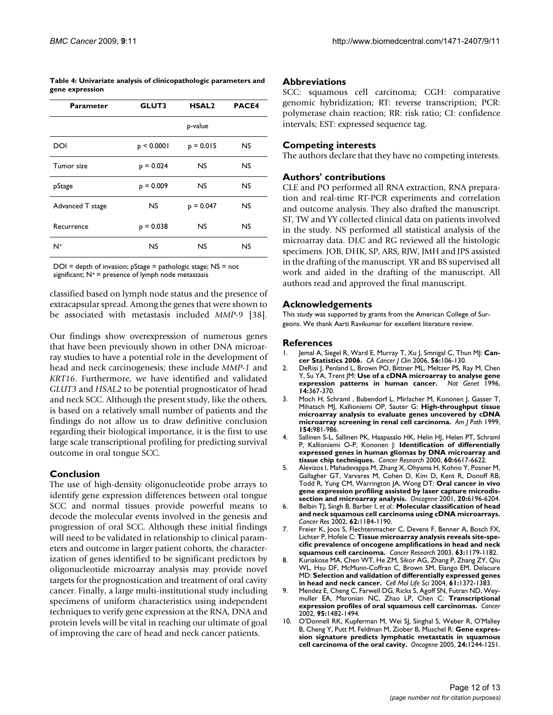**Table 4: Univariate analysis of clinicopathologic parameters and gene expression**

| <b>Parameter</b> | GLUT3       | <b>HSAL2</b> | <b>PACE4</b> |
|------------------|-------------|--------------|--------------|
|                  |             | p-value      |              |
| DOI              | p < 0.0001  | $p = 0.015$  | NS           |
| Tumor size       | $p = 0.024$ | <b>NS</b>    | NS           |
| pStage           | $p = 0.009$ | <b>NS</b>    | NS           |
| Advanced T stage | NS.         | $p = 0.047$  | NS           |
| Recurrence       | $p = 0.038$ | <b>NS</b>    | NS           |
| N+               | <b>NS</b>   | <b>NS</b>    | NS           |

DOI = depth of invasion; pStage = pathologic stage; NS = not significant;  $N^+$  = presence of lymph node metastasis

classified based on lymph node status and the presence of extracapsular spread. Among the genes that were shown to be associated with metastasis included *MMP-9* [38].

Our findings show overexpression of numerous genes that have been previously shown in other DNA microarray studies to have a potential role in the development of head and neck carcinogenesis; these include *MMP-1* and *KRT16*. Furthermore, we have identified and validated *GLUT3* and *HSAL2* to be potential prognosticator of head and neck SCC. Although the present study, like the others, is based on a relatively small number of patients and the findings do not allow us to draw definitive conclusion regarding their biological importance, it is the first to use large scale transcriptional profiling for predicting survival outcome in oral tongue SCC.

#### **Conclusion**

The use of high-density oligonucleotide probe arrays to identify gene expression differences between oral tongue SCC and normal tissues provide powerful means to decode the molecular events involved in the genesis and progression of oral SCC. Although these initial findings will need to be validated in relationship to clinical parameters and outcome in larger patient cohorts, the characterization of genes identified to be significant predictors by oligonucleotide microarray analysis may provide novel targets for the prognostication and treatment of oral cavity cancer. Finally, a large multi-institutional study including specimens of uniform characteristics using independent techniques to verify gene expression at the RNA, DNA and protein levels will be vital in reaching our ultimate of goal of improving the care of head and neck cancer patients.

#### **Abbreviations**

SCC: squamous cell carcinoma; CGH: comparative genomic hybridization; RT: reverse transcription; PCR: polymerase chain reaction; RR: risk ratio; CI: confidence intervals; EST: expressed sequence tag.

#### **Competing interests**

The authors declare that they have no competing interests.

#### **Authors' contributions**

CLE and PO performed all RNA extraction, RNA preparation and real-time RT-PCR experiments and correlation and outcome analysis. They also drafted the manuscript. ST, TW and YY collected clinical data on patients involved in the study. NS performed all statistical analysis of the microarray data. DLC and RG reviewed all the histologic specimens. JOB, DHK, SP, ARS, RJW, JMH and JPS assisted in the drafting of the manuscript. YR and BS supervised all work and aided in the drafting of the manuscript. All authors read and approved the final manuscript.

#### **Acknowledgements**

This study was supported by grants from the American College of Surgeons. We thank Aarti Ravikumar for excellent literature review.

#### **References**

- 1. Jemal A, Siegel R, Ward E, Murray T, Xu J, Smnigal C, Thun MJ: **[Can](http://www.ncbi.nlm.nih.gov/entrez/query.fcgi?cmd=Retrieve&db=PubMed&dopt=Abstract&list_uids=16514137)[cer Statistics 2006.](http://www.ncbi.nlm.nih.gov/entrez/query.fcgi?cmd=Retrieve&db=PubMed&dopt=Abstract&list_uids=16514137)** *CA Cancer J Clin* 2006, **56:**106-130.
- 2. DeRisi J, Penland L, Brown PO, Bittner ML, Meltzer PS, Ray M, Chen Y, Su YA, Trent JM: **[Use of a cDNA microarray to analyse gene](http://www.ncbi.nlm.nih.gov/entrez/query.fcgi?cmd=Retrieve&db=PubMed&dopt=Abstract&list_uids=8944010) [expression patterns in human cancer.](http://www.ncbi.nlm.nih.gov/entrez/query.fcgi?cmd=Retrieve&db=PubMed&dopt=Abstract&list_uids=8944010)** *Nat Genet* 1996, **14:**367-370.
- 3. Moch H, Schraml , Bubendorf L, Mirlacher M, Kononen J, Gasser T, Mihatsch MJ, Kallioniemi OP, Sauter G: **[High-throughput tissue](http://www.ncbi.nlm.nih.gov/entrez/query.fcgi?cmd=Retrieve&db=PubMed&dopt=Abstract&list_uids=10233835) [microarray analysis to evaluate genes uncovered by cDNA](http://www.ncbi.nlm.nih.gov/entrez/query.fcgi?cmd=Retrieve&db=PubMed&dopt=Abstract&list_uids=10233835) [microarray screening in renal cell carcinoma.](http://www.ncbi.nlm.nih.gov/entrez/query.fcgi?cmd=Retrieve&db=PubMed&dopt=Abstract&list_uids=10233835)** *Am J Path* 1999, **154:**981-986.
- 4. Sallinen S-L, Sallinen PK, Haapasalo HK, Helin HJ, Helen PT, Schraml P, Kallioniemi O-P, Kononen J: **[Identification of differentially](http://www.ncbi.nlm.nih.gov/entrez/query.fcgi?cmd=Retrieve&db=PubMed&dopt=Abstract&list_uids=11118044) [expressed genes in human gliomas by DNA microarray and](http://www.ncbi.nlm.nih.gov/entrez/query.fcgi?cmd=Retrieve&db=PubMed&dopt=Abstract&list_uids=11118044) [tissue chip techniques.](http://www.ncbi.nlm.nih.gov/entrez/query.fcgi?cmd=Retrieve&db=PubMed&dopt=Abstract&list_uids=11118044)** *Cancer Research* 2000, **60:**6617-6622.
- 5. Alevizos I, Mahadevappa M, Zhang X, Ohyama H, Kohno Y, Posner M, Gallagher GT, Varvares M, Cohen D, Kim D, Kent R, Donoff RB, Todd R, Yung CM, Warrington JA, Wong DT: **[Oral cancer in vivo](http://www.ncbi.nlm.nih.gov/entrez/query.fcgi?cmd=Retrieve&db=PubMed&dopt=Abstract&list_uids=11593428) [gene expression profiling assisted by laser capture microdis](http://www.ncbi.nlm.nih.gov/entrez/query.fcgi?cmd=Retrieve&db=PubMed&dopt=Abstract&list_uids=11593428)[section and microarray analysis.](http://www.ncbi.nlm.nih.gov/entrez/query.fcgi?cmd=Retrieve&db=PubMed&dopt=Abstract&list_uids=11593428)** *Oncogene* 2001, **20:**6196-6204.
- 6. Belbin TJ, Singh B, Barber I, *et al.*: **[Molecular classification of head](http://www.ncbi.nlm.nih.gov/entrez/query.fcgi?cmd=Retrieve&db=PubMed&dopt=Abstract&list_uids=11861402) [and neck squamous cell carcinoma using cDNA microarrays.](http://www.ncbi.nlm.nih.gov/entrez/query.fcgi?cmd=Retrieve&db=PubMed&dopt=Abstract&list_uids=11861402)** *Cancer Res* 2002, **62:**1184-1190.
- 7. Freier K, Joos S, Flechtenmacher C, Devens F, Benner A, Bosch FX, Lichter P, Hofele C: **[Tissue microarray analysis reveals site-spe](http://www.ncbi.nlm.nih.gov/entrez/query.fcgi?cmd=Retrieve&db=PubMed&dopt=Abstract&list_uids=12649172)[cific prevalence of oncogene amplifications in head and neck](http://www.ncbi.nlm.nih.gov/entrez/query.fcgi?cmd=Retrieve&db=PubMed&dopt=Abstract&list_uids=12649172) [squamous cell carcinoma.](http://www.ncbi.nlm.nih.gov/entrez/query.fcgi?cmd=Retrieve&db=PubMed&dopt=Abstract&list_uids=12649172)** *Cancer Research* 2003, **63:**1179-1182.
- 8. Kuriakose MA, Chen WT, He ZM, Sikor AG, Zhang P, Zhang ZY, Qiu WL, Hsu DF, McMunn-Coffran C, Brown SM, Elango EM, Delacure MD: **[Selection and validation of differentially expressed genes](http://www.ncbi.nlm.nih.gov/entrez/query.fcgi?cmd=Retrieve&db=PubMed&dopt=Abstract&list_uids=15170515) [in head and neck cancer.](http://www.ncbi.nlm.nih.gov/entrez/query.fcgi?cmd=Retrieve&db=PubMed&dopt=Abstract&list_uids=15170515)** *Cell Mol Life Sci* 2004, **61:**1372-1383.
- 9. Mendez E, Cheng C, Farwell DG, Ricks S, Agoff SN, Futran ND, Weymuller EA, Maronian NC, Zhao LP, Chen C: **[Transcriptional](http://www.ncbi.nlm.nih.gov/entrez/query.fcgi?cmd=Retrieve&db=PubMed&dopt=Abstract&list_uids=12237917) [expression profiles of oral squamous cell carcinomas.](http://www.ncbi.nlm.nih.gov/entrez/query.fcgi?cmd=Retrieve&db=PubMed&dopt=Abstract&list_uids=12237917)** *Cancer* 2002, **95:**1482-1494.
- 10. O'Donnell RK, Kupferman M, Wei SJ, Singhal S, Weber R, O'Malley B, Cheng Y, Putt M, Feldman M, Ziober B, Muschel R: **[Gene expres](http://www.ncbi.nlm.nih.gov/entrez/query.fcgi?cmd=Retrieve&db=PubMed&dopt=Abstract&list_uids=15558013)[sion signature predicts lymphatic metastatis in squamous](http://www.ncbi.nlm.nih.gov/entrez/query.fcgi?cmd=Retrieve&db=PubMed&dopt=Abstract&list_uids=15558013) [cell carcinoma of the oral cavity.](http://www.ncbi.nlm.nih.gov/entrez/query.fcgi?cmd=Retrieve&db=PubMed&dopt=Abstract&list_uids=15558013)** *Oncogene* 2005, **24:**1244-1251.